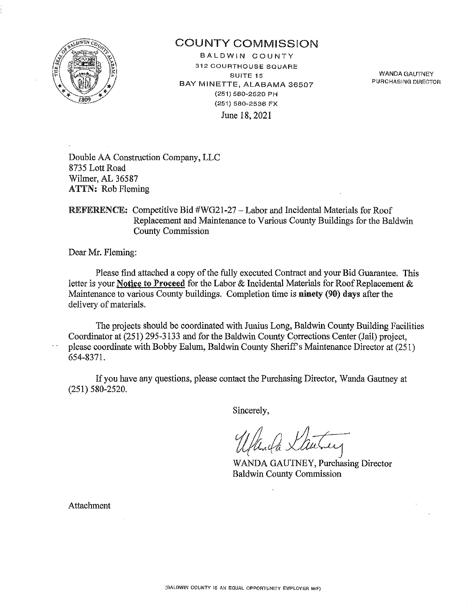

# COUNTY COMMISSION

BALDWIN COUNTY 312 COURTHOUSE SQUARE **SUITE 15**  BAY MINETTE, ALABAMA 36507 (251) 580-2520 PH (251) 580-2536 FX June 18, 2021

WANDA GAUTNEY **PURCHASING DIRECTOR** 

Double AA Construction Company, LLC 8735 Lott Road Wilmer, AL 36587 ATTN: Rob Fleming

REFERENCE: Competitive Bid #WG21-27 - Labor and Incidental Materials for Roof Replacement and Maintenance to Various County Buildings for the Baldwin County Commission

Dear Mr. Fleming:

 $\sim$   $\sim$ 

Please find attached a copy of the fully executed Contract and your Bid Guarantee. This letter is your Notice to Proceed for the Labor & Incidental Materials for Roof Replacement & Maintenance to various County buildings. Completion time is ninety (90) days after the delivery of materials.

The projects should be coordinated with Junius Long, Baldwin County Building Facilities Coordinator at (251) 295-3133 and for the Baldwin County Corrections Center (Jail) project, please coordinate with Bobby Ealum, Baldwin County Sheriff's Maintenance Director at (251) 654-8371.

If you have any questions, please contact the Purchasing Director, Wanda Gautney at (251) 580-2520.

Sincerely,

Wanda Lautney

WANDA GAUTNEY, Purchasing Director Baldwin County Commission

Attachment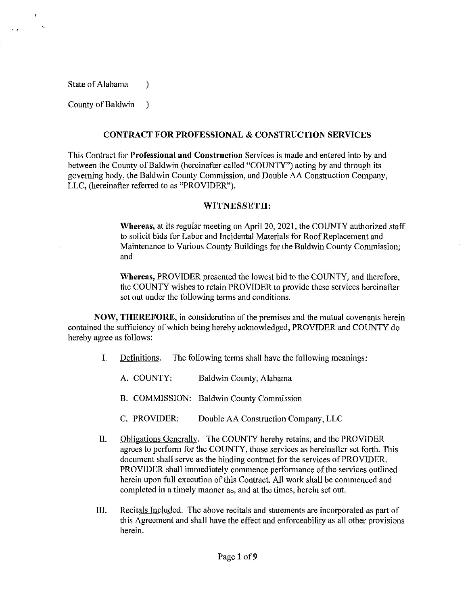State of Alabama (1)

"

 $\ddot{\phantom{a}}$ 

County of Baldwin )

## CONTRACT FOR PROFESSIONAL & CONSTRUCTION SERVICES

This Contract for Professional and Construction Services is made and entered into by and between the County of Baldwin (hereinafter called "COUNTY") acting by and through its governing body, the Baldwin County Commission, and Double AA Construction Company, LLC, (hereinafter referred to as "PROVIDER").

## WITNESSETH:

Whereas, at its regular meeting on April 20, 2021, the COUNTY authorized staff to solicit bids for Labor and Incidental Materials for Roof Replacement and Maintenance to Various County Buildings for the Baldwin County Conunission; and

Whereas, PROVIDER presented the lowest bid to the COUNTY, and therefore, the COUNTY wishes to retain PROVIDER to provide these services hereinafter set out under the following terms and conditions.

NOW, THEREFORE, in consideration of the premises and the mutual covenants herein contained the sufficiency of which being hereby acknowledged, PROVIDER and COUNTY do hereby agree as follows:

- I. Definitions. The following terms shall have the following meanings:
	- A. COUNTY: Baldwin County, Alabama
	- B. COMMISSION: Baldwin County Commission
	- C. PROVIDER: Double AA Construction Company, LLC
- II. Obligations Generally. The COUNTY hereby retains, and the PROVIDER agrees to perform for the COUNTY, those services as hereinafter set forth. This document shall serve as the binding contract for the services of PROVIDER. PROVIDER shall immediately commence performance of the services outlined herein upon full execution of this Contract. All work shall be commenced and completed in a timely manner as, and at the times, herein set out.
- III. Recitals Included. The above recitals and statements are incorporated as part of this Agreement and shall have the effect and enforceability as all other provisions herein.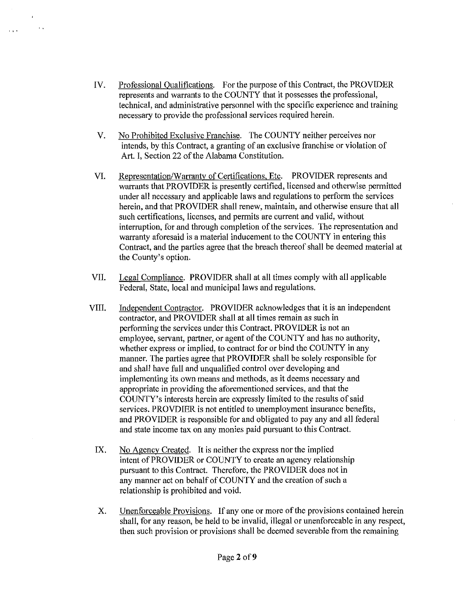IV. Professional Qualifications. For the purpose of this Contract, the PROVIDER represents and warrants to the COUNTY that it possesses the professional, technical, and administrative personnel with the specific experience and training necessary to provide the professional services required herein.

 $\mathbf{r}$  .

 $\mathbf{1}$ 

- V. No Prohibited Exclusive Franchise. The COUNTY neither perceives nor intends, by this Contract, a granting of an exclusive franchise or violation of Art. I, Section 22 of the Alabama Constitution.
- VI. Representation/Warranty of Certifications, Etc. PROVIDER represents and warrants that PROVIDER is presently certified, licensed and otherwise permitted under all necessary and applicable laws and regulations to perform the services herein, and that PROVIDER shall renew, maintain, and otherwise ensure that all such certifications, licenses, and permits are current and valid, without interruption, for and through completion of the services. The representation and warranty aforesaid is a material inducement to the COUNTY in entering this Contract, and the parties agree that the breach thereof shall be deemed material at the County's option.
- VII. Legal Compliance. PROVIDER shall at all times comply with all applicable Federal, State, local and municipal laws and regulations.
- VIII. Independent Contractor. PROVIDER acknowledges that it is an independent contractor, and PROVIDER shall at all times remain as such in performing the services under this Contract. PROVIDER is not an employee, servant, partner, or agent of the COUNTY and has no authority, whether express or implied, to contract for or bind the COUNTY in any manner. The parties agree that PROVIDER shall be solely responsible for and shall have full and unqualified control over developing and implementing its own means and methods, as it deems necessary and appropriate in providing the aforementioned services, and that the COUNTY's interests herein are expressly limited to the results of said services. PROVDIER is not entitled to unemployment insurance benefits, and PROVIDER is responsible for and obligated to pay any and all federal and state income tax on any monies paid pursuant to this Contract.
- IX. No Agency Created. It is neither the express nor the implied intent of PROVIDER or COUNTY to create an agency relationship pursuant to this Contract. Therefore, the PROVIDER does not in any manner act on behalf of COUNTY and the creation of such a relationship is prohibited and void.
- X. Unenforceable Provisions. If any one or more of the provisions contained herein shall, for any reason, be held to be invalid, illegal or unenforceable in any respect, then such provision or provisions shall be deemed severable from the remaining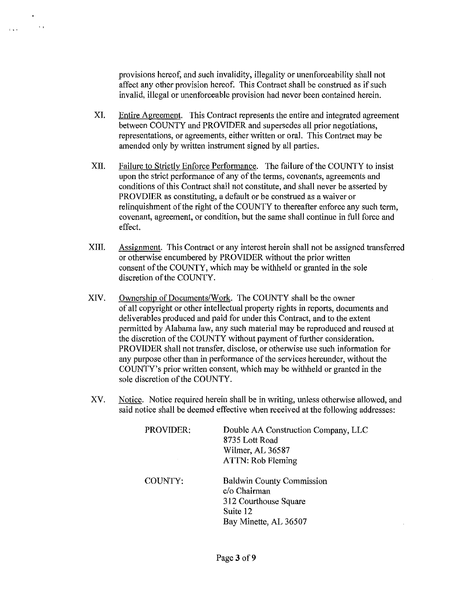provisions hereof, and such invalidity, illegality or unenforceability shall not affect any other provision hereof. This Contract shall be construed as if such invalid, illegal or unenforceable provision had never been contained herein.

 $\sim$   $\sim$ 

- XI. Entire Agreement. This Contract represents the entire and integrated agreement between COUNTY and PROVIDER and supersedes all prior negotiations, representations, or agreements, either written or oral. This Contract may be amended only by written instrument signed by all parties.
- XII. Failure to Strictly Enforce Performance. The failure of the COUNTY to insist upon tbe strict performance of any of the terms, covenants, agreements and conditions of this Contract shall not constitute, and shall never be asserted by PROVDIER as constituting, a default or be construed as a waiver or relinquishment of the right of the COUNTY to thereafter enforce any such term, covenant, agreement, or condition, but the same shall continue in full force and effect.
- XIII. Assignment. This Contract or any interest herein shall not be assigned transferred or otherwise encumbered by PROVIDER without the prior written consent of the COUNTY, which may be withheld or granted in the sole discretion of the COUNTY.
- XIV. Ownership of Documents/Work. The COUNTY shall be the owner of all copyright or other intellectual property rights in reports, documents and deliverables produced and paid for under this Contract, and to the extent permitted by Alabama law, any such material may be reproduced and reused at the discretion of the COUNTY without payment of further consideration. PROVIDER shall not transfer, disclose, or otherwise use such information for any purpose other than in performance of the services hereunder, without the COUNTY's prior written consent, which may be withheld or granted in the sole discretion of the COUNTY.
- XV. Notice. Notice required herein shall be in writing, unless otherwise allowed, and said notice shall be deemed effective when received at the following addresses:

| PROVIDER: | Double AA Construction Company, LLC              |  |
|-----------|--------------------------------------------------|--|
|           | 8735 Lott Road                                   |  |
|           | Wilmer, AL 36587                                 |  |
|           | ATTN: Rob Fleming                                |  |
| COUNTY:   | <b>Baldwin County Commission</b><br>c/o Chairman |  |
|           | 312 Courthouse Square                            |  |
|           | Suite 12                                         |  |
|           | Bay Minette, AL 36507                            |  |
|           |                                                  |  |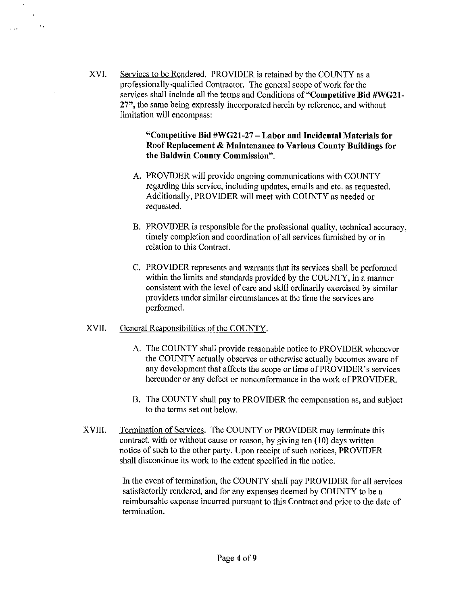XVI. Services to be Rendered. PROVIDER is retained by the COUNTY as a professionally-qualified Contractor. The general scope of work for the services shall include all the terms and Conditions **of"Competitive Bid #WG21-** 27", the same being expressly incorporated herein by reference, and without limitation will encompass:

# **"Competitive Bid #WG21-27 - Labor and Incidental Materials for Roof Replacement & Maintenance to Various County Buildings for the Baldwin County Commission".**

- A. PROVIDER will provide ongoing communications with COUNTY regarding this service, including updates, emails and etc. as requested. Additionally, PROVIDER will meet with COUNTY as needed or requested.
- B. PROVIDER is responsible for the professional quality, technical accuracy, timely completion and coordination of all services furnished by or in relation to this Contract.
- C. PROVIDER represents and warrants that its services shall be performed within the limits and standards provided by the COUNTY, in a manner consistent with the level of care and skill ordinarily exercised by similar providers under similar circumstances at the time the services are performed.

# XVII. General Responsibilities of the COUNTY.

 $\sim$ 

 $\sim 10^{-1}$ 

- A. The COUNTY shall provide reasonable notice to PROVIDER whenever the COUNTY actually observes or otherwise actually becomes aware of any development that affects the scope or time of PROVIDER's services hereunder or any defect or nonconformance in the work of PROVIDER.
- B. The COUNTY shall pay to PROVIDER the compensation as, and subject to the terms set out below.
- XVIII. Termination of Services. The COUNTY or PROVIDER may terminate this contract, with or without cause or reason, by giving ten  $(10)$  days written notice of such to the other party. Upon receipt of such notices, PROVIDER shall discontinue its work to the extent specified in the notice.

In the event of termination, the COUNTY shall pay PROVIDER for all services satisfactorily rendered, and for any expenses deemed by COUNTY to be a reimbursable expense incurred pursuant to this Contract and prior to the date of termination.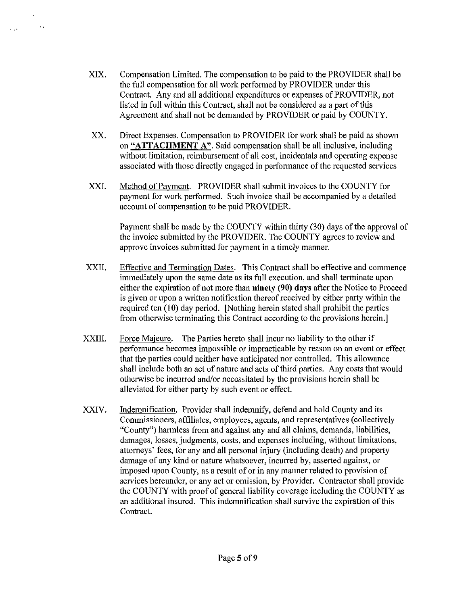XIX. Compensation Limited. The compensation to be paid to the PROVIDER shall be the full compensation for all work performed by PROVIDER under this Contract. Any and all additional expenditures or expenses of PROVIDER, not listed in full within this Contract, shall not be considered as a part of this Agreement and shall not be demanded by PROVIDER or paid by COUNTY.

 $\sim$   $\sim$ 

 $\sim 10^{-11}$ 

- XX. Direct Expenses. Compensation to PROVIDER for work shall be paid as shown on **"ATTACHMENT** A''. Said compensation shall be all inclusive, including without limitation, reimbursement of all cost, incidentals and operating expense associated with those directly engaged in performance of the requested services
- XXI. Method of Payment. PROVIDER shall submit invoices to the COUNTY for payment for work performed. Such invoice shall be accompanied by a detailed account of compensation to be paid PROVIDER.

Payment shall be made by the COUNTY within thirty (30) days of the approval of the invoice submitted by the PROVIDER. The COUNTY agrees to review and approve invoices submitted for payment in a timely manner.

- XXII. Effective and Termination Dates. This Contract shall be effective and commence immediately upon the same date as its full execution, and shall terminate upon either the expiration of not more than **ninety (90)** days after the Notice to Proceed is given or upon a written notification thereof received by either party within the required ten (IO) day period. [Nothing herein stated shall prohibit the parties from otherwise terminating this Contract according to the provisions herein.]
- XXIII. Force Majeure. The Parties hereto shall incur no liability to the other if performance becomes impossible or impracticable by reason on an event or effect that the parties could neither have anticipated nor controlled. This allowance shall include both an act of nature and acts of third parties. Any costs that would otherwise be incurred and/or necessitated by the provisions herein shall be alleviated for either party by such event or effect.
- XXIV. Indemnification. Provider shall indemnify, defend and hold County and its Commissioners, affiliates, employees, agents, and representatives (collectively "County") harmless from and against any and all claims, demands, liabilities, damages, losses, judgments, costs, and expenses including, without limitations, attorneys' fees, for any and all personal injury (including death) and property damage of any kind or nature whatsoever, incurred by, asserted against, or imposed upon County, as a result of or in any manner related to provision of services hereunder, or any act or omission, by Provider. Contractor shall provide the COUNTY with proof of general liability coverage including the COUNTY as an additional insured. This indemnification shall survive the expiration of this Contract.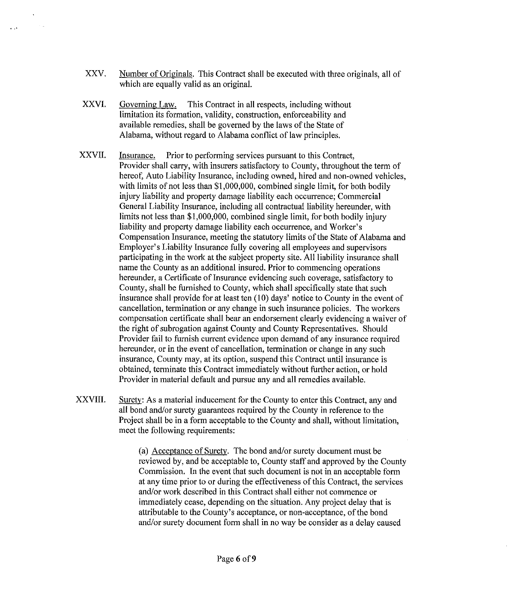- XXV. Number of Originals. This Contract shall be executed with three originals, all of which are equally valid as an original.
- XXVI. Governing Law. This Contract in all respects, including without limitation its formation, validity, construction, enforceability and available remedies, shall be governed by the laws of the State of Alabama, without regard to Alabama conflict of law principles.

 $\mathbf{r} \in \mathbb{R}^n$ 

- XXVII. Insurance. Prior to performing services pursuant to this Contract, Provider shall carry, with insurers satisfactory to County, throughout the term of hereof, Auto Liability Insurance, including owned, hired and non-owned vehicles, with limits of not less than \$1,000,000, combined single limit, for both bodily injury liability and property damage liability each occurrence; Commercial General Liability Insurance, including all contractual liability hereunder, with limits not less than \$1,000,000, combined single limit, for both bodily injury liability and property damage liability each occurrence, and Worker's Compensation Insurance, meeting the statutory limits of the State of Alabama and Employer's Liability Insurance fully covering all employees and supervisors participating in the work at the subject property site. All liability insurance shall name the County as an additional insured. Prior to commencing operations hereunder, a Certificate of Insurance evidencing such coverage, satisfactory to County, shall be furnished to County, which shall specifically state that such insurance shall provide for at least ten (10) days' notice to County in the event of cancellation, termination or any change in such insurance policies. The workers compensation certificate shall bear an endorsement clearly evidencing a waiver of the right of subrogation against County and County Representatives. Should Provider fail to furnish current evidence upon demand of any insurance required hereunder, or in the event of cancellation, termination or change in any such insurance, County may, at its option, suspend this Contract until insurance is obtained, terminate this Contract immediately without further action, or hold Provider in material default and pursue any and all remedies available.
- XXVIII. Surety: As a material inducement for the County to enter this Contract, any and all bond and/or surety guarantees required by the County in reference to the Project shall be in a form acceptable to the County and shall, without limitation, meet the following requirements:

(a) Acceptance of Surety. The bond and/or surety document must be reviewed by, and be acceptable to, County staff and approved by the County Commission. In the event that such document is not in an acceptable form at any time prior to or during the effectiveness of this Contract, the services and/or work described in this Contract shall either not commence or immediately cease, depending on the situation. Any project delay that is attributable to the County's acceptance, or non-acceptance, of the bond and/or surety docwnent form shall in no way be consider as a delay caused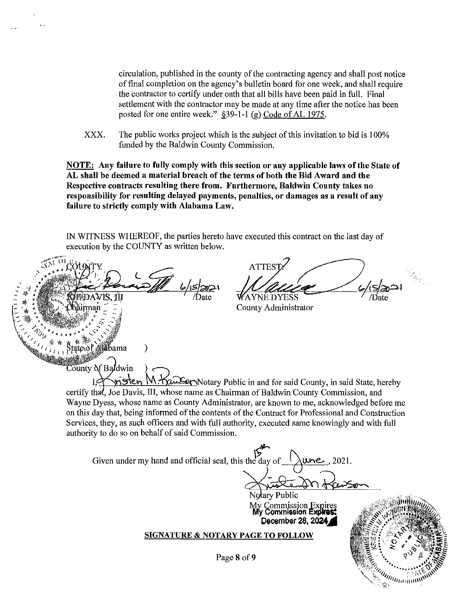circulation, published in the county of the contracting agency and shall post notice of final completion on the agency's bulletin board for one week, and shall require the contractor to certify under oath that all bills have been paid in full. Final settlement with the contractor may be made at any time after the notice has been posted for one entire week."  $§$ 39-1-1 (g) Code of AL 1975.

XXX. The public works project which is the subject of this invitation to bid is 100% funded by the Baldwin County Commission.

NOTE: Any failure to fully comply with this section or any applicable laws of the State of AL shall be deemed a material breach of the terms of both the Bid Award and the Respective contracts resulting there from. Furthermore, Baldwin County takes no responsibility for resulting delayed payments, penalties, or damages as a result of any failure to strictly comply with Alabama Law.

IN WITNESS WHEREOF, the parties hereto have executed this contract on the last day of execution by the COUNTY as written below.

ATTEST?<br> $\frac{1}{\sqrt{\frac{1}{N}}}\sqrt{\frac{1}{N}}$ County Administrator Alabama ) County of Baldwin risten  $M$ .  $\overline{Y}$  $\Omega$  Eq. Notary Public in and for said County, in said State, hereby certify that, Joe Davis, III, whose name as Chairman of Baldwin County Commission, and Wayne Dyess, whose name as County Administrator, are known to me, acknowledged before me on this day that, being informed of the contents of the Contract for Professional and Construction Services, they, as such officers and with full authority, executed same knowingly and with full authority to do so on behalf of said Commission. Given under my hand and official seal, this the day of  $\bigwedge$ une, 2021. Notary Public<br>Notary Public<br>My Commission Expires My Commission Expires **...**<br>**My Commission Expires:**<br>December 28, 2024.Ai SIGNATURE & NOTARY PAGE TO FOLLOW ru:: .. '.:;.\_ ~ *:.P:;* 1 Q:J"v Page 8 of 9 **:**  $\mathcal{L}_{\mathbb{R}^n}$  .  $\mathcal{L}_{\mathbb{R}^n}$  ,  $\mathcal{L}_{\mathbb{R}^n}$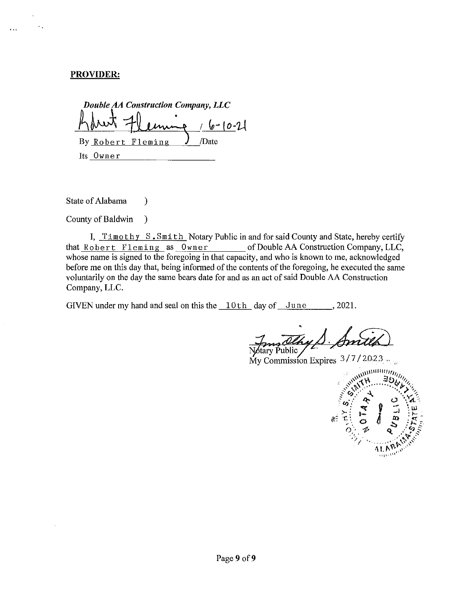## **PROVIDER:**

 $\mathcal{L}_{\mathcal{A}}$ 

 $\ddotsc$ 

*Double AA Construction Company, LLC*   $16 - 10 - 21$ By Robert Fleming  $J$  /Date Its Owner

State of Alabama (b)

County of Baldwin )

I, Timothy S. Smith Notary Public in and for said County and State, hereby certify that Robert Fleming as Owner of Double AA Construction Company, LLC, whose name is signed to the foregoing in that capacity, and who is known to me, acknowledged before me on this day that, being informed of the contents of the foregoing, he executed the same voluntarily on the day the same bears date for and as an act of said Double AA Construction Company, LLC.

GIVEN under my hand and seal on this the  $10th$  day of June . 2021.

tary Public.

My Commission Expires 3/7/2023.

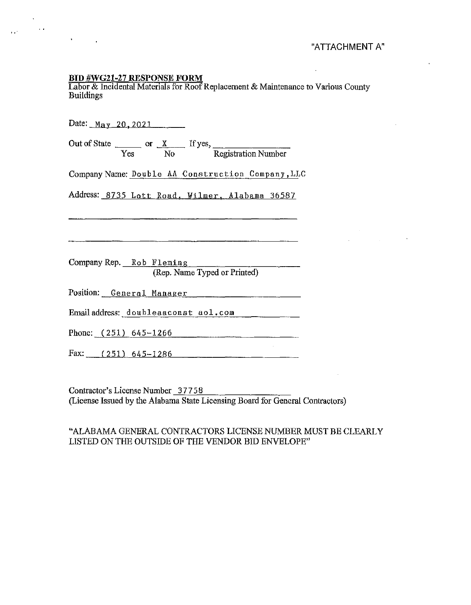$\bar{\mathcal{A}}$ 

# **BID #WG21-27 RESPONSE FORM**

 $\sim$   $\epsilon$ 

 $\bullet$ 

 $\mathbf{r}$ 

 $\mu$  and  $\mu$ 

Labor & Incidental Materials for Roof Replacement & Maintenance to Various County Buildings

| Date: $May$ 20, 2021                                                                     |  |
|------------------------------------------------------------------------------------------|--|
| Out of State $\frac{x}{\text{Yes}}$ or $\frac{x}{\text{No}}$ If yes, Registration Number |  |
| Company Name: Double AA Construction Company, LLC                                        |  |
| Address: 8735 Lott Road, Wilmer, Alabama 36587                                           |  |
|                                                                                          |  |
|                                                                                          |  |
| Company Rep. Rob Fleming                                                                 |  |
| (Rep. Name Typed or Printed)                                                             |  |
|                                                                                          |  |
| Emailaddress: doubleaaconst aol.com $\qquad \qquad \_$                                   |  |
| Phone: $(251)$ 645-1266                                                                  |  |
| Fax: $(251)$ 645-1286                                                                    |  |

Contractor's License Number 37758<br>(License Issued by the Alabama State Licensing Board for General Contractors)

# "ALABAMA GENERAL CONTRACTORS LICENSE NUMBER MUST BE CLEARLY LISTED ON THE OUTSIDE OF THE VENDOR BID ENVELOPE"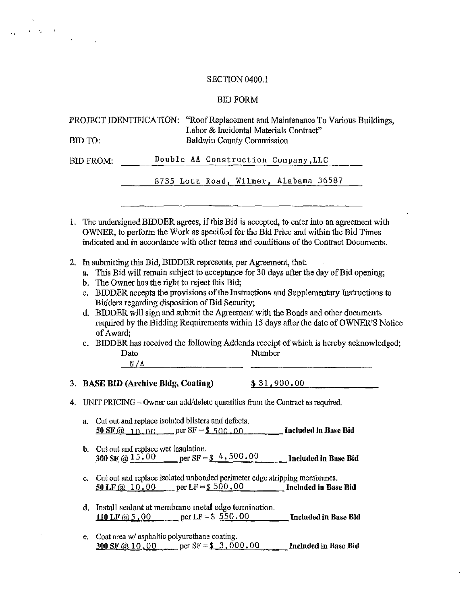# SECTION 0400.1

..

 $\mathcal{A}^{\text{max}}_{\text{max}}$ 

 $\bar{z}$ 

# BID FORM

| BID TO:                       | PROJECT IDENTIFICATION: "Roof Replacement and Maintenance To Various Buildings,<br>Labor & Incidental Materials Contract"<br><b>Baldwin County Commission</b>                                                                                                                                                                                                                                                                                                                                                                                                                                                                                                   |  |  |  |  |
|-------------------------------|-----------------------------------------------------------------------------------------------------------------------------------------------------------------------------------------------------------------------------------------------------------------------------------------------------------------------------------------------------------------------------------------------------------------------------------------------------------------------------------------------------------------------------------------------------------------------------------------------------------------------------------------------------------------|--|--|--|--|
|                               | Double AA Construction Company, LLC<br><b>BID FROM:</b>                                                                                                                                                                                                                                                                                                                                                                                                                                                                                                                                                                                                         |  |  |  |  |
|                               | 8735 Lott Road, Wilmer, Alabama 36587                                                                                                                                                                                                                                                                                                                                                                                                                                                                                                                                                                                                                           |  |  |  |  |
|                               | 1. The undersigned BIDDER agrees, if this Bid is accepted, to enter into an agreement with<br>OWNER, to perform the Work as specified for the Bid Price and within the Bid Times<br>indicated and in accordance with other terms and conditions of the Contract Documents.                                                                                                                                                                                                                                                                                                                                                                                      |  |  |  |  |
| 2.<br>a.<br>$C_{\star}$<br>d. | In submitting this Bid, BIDDER represents, per Agreement, that:<br>This Bid will remain subject to acceptance for 30 days after the day of Bid opening;<br>The Owner has the right to reject this Bid;<br>b.<br>BIDDER accepts the provisions of the Instructions and Supplementary Instructions to<br>Bidders regarding disposition of Bid Security;<br>BIDDER will sign and submit the Agreement with the Bonds and other documents<br>required by the Bidding Requirements within 15 days after the date of OWNER'S Notice<br>of Award:<br>BIDDER has received the following Addenda receipt of which is hereby acknowledged;<br>e.<br>Number<br>Date<br>N/A |  |  |  |  |
| 3.                            | \$31,900.00<br><b>BASE BID (Archive Bldg, Coating)</b>                                                                                                                                                                                                                                                                                                                                                                                                                                                                                                                                                                                                          |  |  |  |  |
| 4.                            | UNIT PRICING $-$ Owner can add/delete quantities from the Contract as required.                                                                                                                                                                                                                                                                                                                                                                                                                                                                                                                                                                                 |  |  |  |  |
| a.                            | Cut out and replace isolated blisters and defects.<br>$\underline{50 \text{ SF}}$ (2 \ 1 \ 0 \ 0 \ 0 \ 0 \ per SF = $\underline{\$ \underline{500,00} \phantom{000} \phantom{0000} }$ Included in Base Bid                                                                                                                                                                                                                                                                                                                                                                                                                                                      |  |  |  |  |
| b.                            | Cut out and replace wet insulation.<br>per SF = $\frac{1}{2}$ 4, 500.00<br>300 SF @ $15.00$<br><b>Included in Base Bid</b>                                                                                                                                                                                                                                                                                                                                                                                                                                                                                                                                      |  |  |  |  |
| c.                            | Cut out and replace isolated unbonded perimeter edge stripping membranes.<br>50 LF @ 10.00 per LF = $$500.00$<br>Included in Base Bid                                                                                                                                                                                                                                                                                                                                                                                                                                                                                                                           |  |  |  |  |
| d.                            | Install sealant at membrane metal edge termination.<br>110 LF @ 5.00 per LF = \$550.00<br><b>Included in Base Bid</b>                                                                                                                                                                                                                                                                                                                                                                                                                                                                                                                                           |  |  |  |  |
| С.                            | Coat area w/ asphaltic polyurethane coating.<br>per $SF = $3,000,00$<br>300 SF @ 10.00<br>Included in Base Bid                                                                                                                                                                                                                                                                                                                                                                                                                                                                                                                                                  |  |  |  |  |

 $\sim$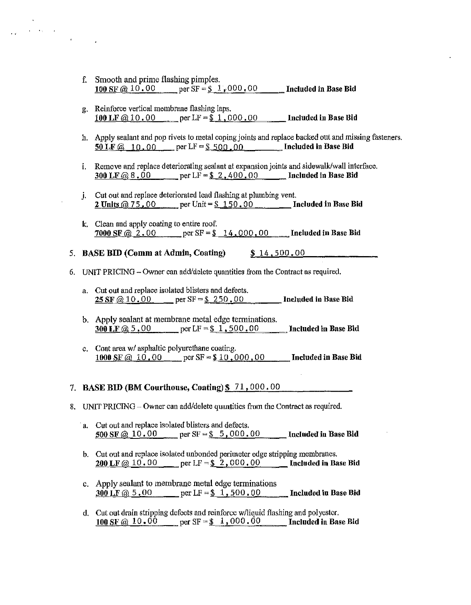f. Smooth and prime flashing pimples. 100 SF  $\omega$  10.00 per SF = \$ 1,000.00 Included in Base Bid

 $\langle\mathbf{v},\mathbf{v}\rangle$  and

- g. Reinforce vertical membrane flashing laps. 100 LF  $@10.00$  per LF = \$ 1,000.00 Included in Base Bid
- h. Apply sealant and pop rivets to metal coping joints and replace backed out and missing fasteners.  $\overline{50 \text{ LF} \omega}$  10.00 per LF = \$ 500.00 Included in Base Bid
- i. Remove and replace deteriorating sealant at expansion joints and sidewalk/wall interface. 300 LF @ 8.00 per LF =  $\frac{1}{2}$ , 400.00 Included in Base Bid
- j. Cut out and replace deteriorated lead flashing at plumbing vent. 2 Units  $@ 75,00$  per Unit = \$ 150,00 Included in Base Bid
- k. Clean and apply coating to entire roof. 7000 SF  $@ 2.00$  per SF =  $$ 14,000,00$  Included in Base Bid
- 5. BASE BID (Comm at Admin, Coating) \$ 14.500,00
- 6. UNIT PRICING Owner can add/delete quantities from the Contract as required.
	- a. Cut out and replace isolated blisters and defects. **25 SF**  $@ 10.00$  per  $SF = $ 250.00$  Included in Base Bid
	- b. Apply sealant at membrane metal edge terminations. 300 LF @ 5.00 per LF =  $$1,500.00$  Included in Base Bid
	- c. Coat area w/ asphaltic polyurethane coating. 1000 SF @ 10,00 per SF =  $$10,000,00$  Included in Base Bid

# 7. BASE BID (BM Courthouse, Coating)  $\frac{127.000}{100}.00$

- 8. UNIT PRICING- Owner can add/delete quantities from the Contract as required.
	- a. Cut out and replace isolated blisters and defects. SOO SF@ 10. 00 per *SF=\$* 5, 000. 00 Included in Base Bid
	- b. Cut out and replace isolated tmbonded perimeter edge stripping membranes. 200 LF @ 10.00 per LF =  $$2,000.00$  Included in Base Bid
	- c. Apply sealant to membrane metal edge terminations 300 LF  $@ 5.00$  per LF = \$ 1, 500.00 Included in Base Bid
	- d. Cut out drain stripping defects and reinforce w/liquid flashing and polyester. 100 SF @ 10.00 per SF =  $\frac{1}{2}$ , 000.00 Included in Base Bid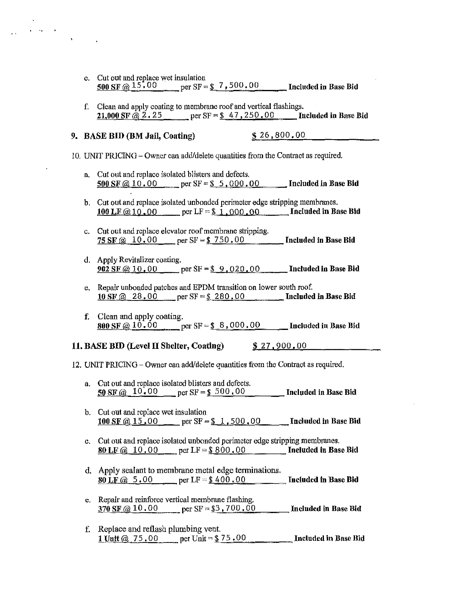- e. Cut out and replace wet insulation<br>500 SF  $\omega$  15.00 per SF =  $per S = $7,500.00$  Included in Base Bid
- f. Clean and apply coating to membrane roof and vertical flashings. **21,000 SF**  $@2.25$  per SF = \$ 47,250.00 Included in Base Bid

9. BASE BID (BM Jail, Coating) \$ 26,800.00

 $\mathcal{L}^{\text{max}}$  and  $\mathcal{L}^{\text{max}}$ 

I 0. UNIT PRJCING - Owner can add/delete quantities from the Contract as required.

- a. Cut out and replace isolated blisters and defects. 500 SF @ 10.00 per SF =  $$5,000.00$  Included in Base Bid
- b. Cut out and replace isolated unbonded perimeter edge stripping membranes. 100 LF  $@10.00$  per LF = \$ 1,000.00 Included in Base Bid
- c. Cut out and replace elevator roof membrane stripping. 75 SF  $@ 10.00$  per SF = \$ 750.00 Included in Base Bid
- d. Apply Revitalizer coating. 902 SF @ 10.00 per SF =  $$9,020.00$  Included in Base Bid
- e. Repair unbouded patches and EPDM transition on lower south roof. 10 SF  $\omega$  28.00 per SF = \$ 280.00 Included in Base Bid
- f. Clean and apply coating. 800 SF @ 10.00 per SF =  $$8,000.00$  Included in Base Bid

### 11. BASE BID (Level II Shelter, Coating)  $$27,900.00$

12. UNIT PRJClNG - Owner can add/delete quantities from the Contract as required.

- a. Cut out and replace isolated blisters and defects. 50 SF  $\omega$  10.00 per SF = \$ 500.00 Included in Base Bid
- b. Cut out and replace wet insulation 100 SF  $@.15.00$  per SF = \$ 1,500,00 Included in Base Bid
- c. Cut out and replace isolated unbonded perimeter edge stripping membranes. 80 LF  $\omega$  10.00 per LF = \$ 800.00 Included in Base Bid
- d. Apply sealant to membrane metal edge terminations. 80 LF  $@ 5.00$  per LF = \$ 400.00 Included in Base Bid
- e. Repair and reinforce vertical membrane flashing. 370 SF  $@10.00$  per SF = \$3, 700.00 Included in Base Bid
- f. Replace and reflash plumbing vent. 1 Unit  $@. 75.00$  per Unit = \$ 75.00 \_\_\_\_\_\_ Included in Base Bid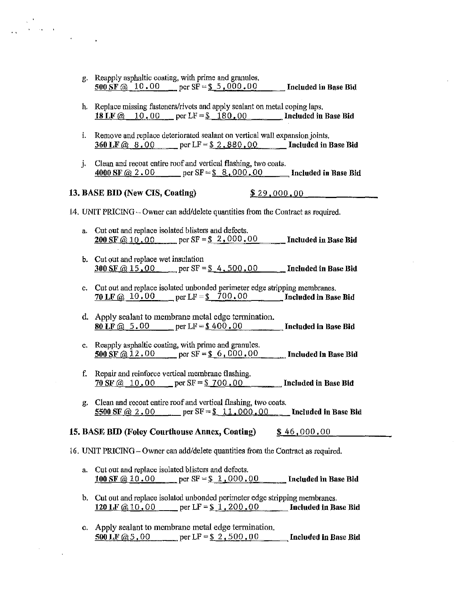- g. Reapply asphaltic coating, with prime and granules.<br>500 SF  $\textcircled{a}$  10.00 per SF = \$ 5,000.00  $=$  per SF =  $\frac{6}{5}$ , 000.00 Included in Base Bid
- h. Replace missing fasteners/rivets and apply sealant on metal coping laps.<br>18 LF  $@$  10.00 per LF = \$ 180.00 **Included in Base Bid** 18 LF @ 10, 00 per LF = \$ 180, 00
- i. Remove and replace deteriorated sealant on vertical wall expansion joints. 360 LF @ 8.00 per LF =  $$2,880,00$  Included in Base Bid
- j. Clean and recoat entire roof and vertical flashing, two coats.<br>4000 SF  $\omega$  2.00 per SF = \$ 8.000.00 multipled in Base Bid  $per SF=\frac{8}{9}.8,000.00$

### **13. BASE BID (New CIS, Coating)** \$ 29,000,00

#### 14. UNIT PRICING - Owner can add/delete quantities from the Contract as required.

- a. Cut out and replace isolated blisters and defects. **200 SF**  $\omega$  10.00 per SF =  $\frac{\$}{}$  2,000.00 Included in Base Bid
- b. Cut out and replace wet insulation 300 SF @ 15.00 per SF =  $$4,500,00$  Included in Base Bid
- c. Cut out and replace isolated unbonded perimeter edge stripping membranes. 70 LF @  $10.00$  per LF =  $\frac{$200.00}{$}$  Included in Base Bid
- d. Apply sealant to membrane metal edge termination. 80 LF  $@ 5.00$  per LF = \$ 400.00 Included in Base Bid
- e. Reapply asphaltic coating, with prime and granules.<br>500 SF  $\textcircled{a}$  12.00 per SF = \$ 6,000.00  $\text{per SF} = $6,000.00$  Included in Base Bid
- f. Repair and reinforce vertical membrane flashing. 70 SF  $\omega$  10.00 per SF = \$ 700.00 Included in Base Bid
- g. Clean and recoat entire roof and vertical flashing, two coats. 5500 SF @ 2.00 per SF =  $$11,000,00$  Included in Base Bid

### 15. BASE BID (Foley Courthouse Annex, Coating) \$46,000.00

16. UNIT PRICING - Owner can add/delete quantities from the Contract as required.

- a. Cut out and replace isolated blisters and defects. 100 SF @ 10.00 per SF =  $$1,000,00$  Included in Base Bid
- b. Cut out and replace isolated unbonded perimeter edge stripping membranes. 120 I.F  $@10,00$  per LF = \$ 1, 200.00 Included in Base Bid
- c. Apply sealant to membrane metal edge termination. 500 LF  $@5.00$  per LF = \$ 2,500.00 Included in Base Bid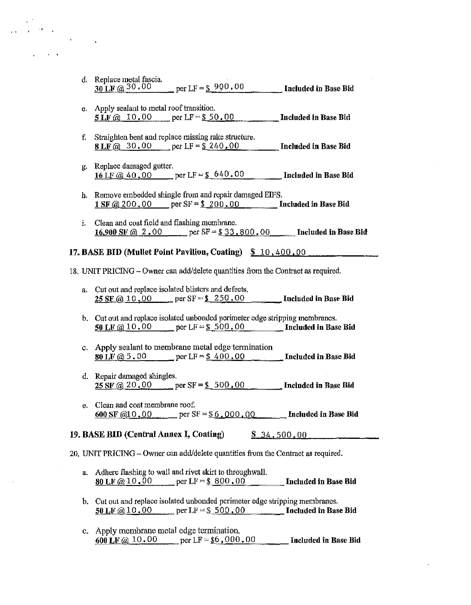| d. Replace metal fascia.         |                      |                      |
|----------------------------------|----------------------|----------------------|
| $30 \text{ LF } (a) 30 \cdot 00$ | per LF = $\$$ 900,00 | Included in Base Bid |

- e. Apply sealant to metal roof transition.  $5 \text{ LF } (a) \quad 10.00$  per LF =  $$50.00$  **Included in Base Bid**
- f. Straighten bent and replace missing rake stmcture. 8 LF @ 30.00 per LF =  $$240.00$  Included in Base Bid
- g. Replace damaged gutter. 16 LF  $\omega$  40.00 per LF = \$ 640.00 Included in Base Bid
- h. Remove embedded shingle from and repair damaged EIFS. 1 SF  $\hat{\omega}$  200.00 per SF = \$ 200.00 Included in Base Bid
- i. Clean and coat field and flashing membrane. 16.900 SF @ 2.00 per SF =  $$33,800,00$  Included in Base Bid

### 17. BASE BID (Mullet Point Pavilion, Coating)  $$10,400,00$ .

18. UNIT PRJCING-Owner cau add/delete quantities from tbe Contract as required.

- a. Cut out and replace isolated blisters and defects. 25 SF  $@$  10,00 per SF = \$ 250,00 Included in Base Bid
- b. Cut out and replace isolated unbonded perimeter edge stripping membranes. 50 LF  $\omega$  10.00 per LF = \$ 500.00 Included in Base Bid
- c. Apply sealant to membrane metal edge termination 80 LF  $@$  5.00 per LF = \$ 400.00 Included in Base Bid
- d. Repair damaged shingles. 25 SF @ 20.00 per SF =  $$500.00$  Included in Base Bid
- e. Clean and coat membrane roof. 600 SF  $@10.00$  per SF = \$6,000,00 Included in Base Bid

### 19. BASE BID (Central Annex I, Coating) \$ 34.500.00

20. UNIT PRICING- Owner can add/delete quantities from the Contract as required.

- a. Adhere flashing to wall and rivet skirt to throughwall.  $80 \text{ LF } @ 10.00$  per LF = \$ 800.00 Included in Base Bid
- b. Cut out and replace isolated unbonded perimeter edge stripping membranes. 50 LF  $\omega$  10.00 per LF = \$ 500.00 Included in Base Bid
- c. Apply membrane metal edge termination. 600 LF  $@ 10.00$  per LF = \$6,000.00 Included in Base Bid